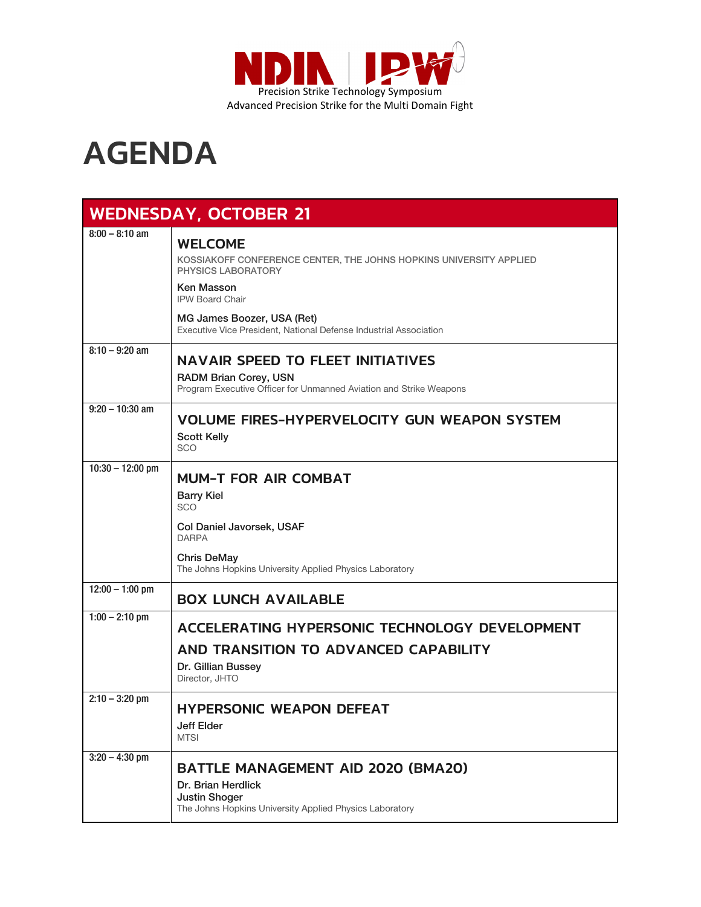

## AGENDA

| <b>WEDNESDAY, OCTOBER 21</b> |                                                                                                                                                                                       |  |
|------------------------------|---------------------------------------------------------------------------------------------------------------------------------------------------------------------------------------|--|
| $8:00 - 8:10$ am             | <b>WELCOME</b><br>KOSSIAKOFF CONFERENCE CENTER, THE JOHNS HOPKINS UNIVERSITY APPLIED<br><b>PHYSICS LABORATORY</b>                                                                     |  |
|                              | Ken Masson<br><b>IPW Board Chair</b><br>MG James Boozer, USA (Ret)<br>Executive Vice President, National Defense Industrial Association                                               |  |
| $8:10 - 9:20$ am             | <b>NAVAIR SPEED TO FLEET INITIATIVES</b><br>RADM Brian Corey, USN<br>Program Executive Officer for Unmanned Aviation and Strike Weapons                                               |  |
| $9:20 - 10:30$ am            | <b>VOLUME FIRES-HYPERVELOCITY GUN WEAPON SYSTEM</b><br><b>Scott Kelly</b><br><b>SCO</b>                                                                                               |  |
| $10:30 - 12:00$ pm           | <b>MUM-T FOR AIR COMBAT</b><br><b>Barry Kiel</b><br><b>SCO</b><br>Col Daniel Javorsek, USAF<br><b>DARPA</b><br>Chris DeMay<br>The Johns Hopkins University Applied Physics Laboratory |  |
| $12:00 - 1:00$ pm            | <b>BOX LUNCH AVAILABLE</b>                                                                                                                                                            |  |
| $1:00 - 2:10$ pm             | ACCELERATING HYPERSONIC TECHNOLOGY DEVELOPMENT<br>AND TRANSITION TO ADVANCED CAPABILITY<br>Dr. Gillian Bussey<br>Director, JHTO                                                       |  |
| $2:10 - 3:20$ pm             | <b>HYPERSONIC WEAPON DEFEAT</b><br>Jeff Elder<br><b>MTSI</b>                                                                                                                          |  |
| $3:20 - 4:30$ pm             | <b>BATTLE MANAGEMENT AID 2020 (BMA20)</b><br>Dr. Brian Herdlick<br><b>Justin Shoger</b><br>The Johns Hopkins University Applied Physics Laboratory                                    |  |